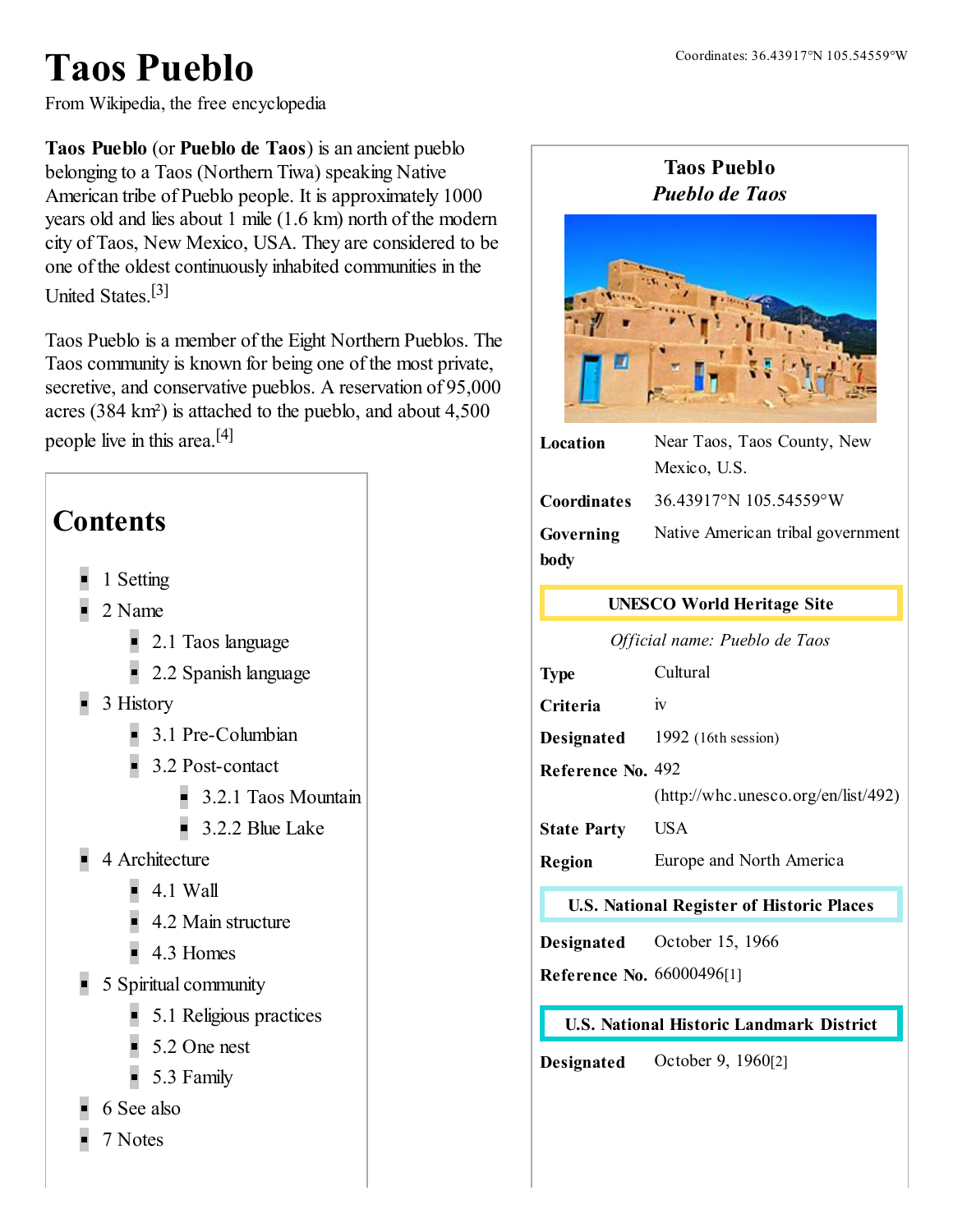# Taos Pueblo

From Wikipedia, the free encyclopedia

Taos Pueblo (or Pueblo de Taos) is an ancient [pueblo](http://en.wikipedia.org/wiki/Pueblo) belonging to a [Taos](http://en.wikipedia.org/wiki/Taos_language) ([Northern](http://en.wikipedia.org/wiki/Tiwa_languages) Tiwa) speaking Native American tribe of [Pueblo](http://en.wikipedia.org/wiki/Pueblo_people) people. It is approximately 1000 years old and lies about 1 mile (1.6 km) north of the modern city of [Taos,](http://en.wikipedia.org/wiki/Taos,_New_Mexico) New Mexico, USA. They are considered to be one of the oldest continuously inhabited communities in the United States. [\[3\]](#page-5-1)

<span id="page-0-2"></span>Taos Pueblo is a member of the Eight [Northern](http://en.wikipedia.org/wiki/Eight_Northern_Pueblos) Pueblos. The Taos community is known for being one of the most private, secretive, and conservative pueblos. A [reservation](http://en.wikipedia.org/wiki/Indian_reservation) of 95,000 acres (384 km²) is attached to the pueblo, and about 4,500 people live in this area.<sup>[\[4\]](#page-5-2)</sup>

<span id="page-0-3"></span>

#### Taos Pueblo *Pueblo de Taos*



| Location           | Near Taos, Taos County, New       |
|--------------------|-----------------------------------|
|                    | Mexico, U.S.                      |
| <b>Coordinates</b> | 36.43917°N 105.54559°W            |
| Governing          | Native American tribal government |
| body               |                                   |

#### [UNESCO](http://en.wikipedia.org/wiki/World_Heritage_Site) World Heritage Site

*Official name: Pueblo de Taos*

| <b>Type</b>        | Cultural                            |
|--------------------|-------------------------------------|
| Criteria           | 1V                                  |
| <b>Designated</b>  | 1992 $(16th session)$               |
| Reference No. 492  |                                     |
|                    | (http://whc.unesco.org/en/list/492) |
| <b>State Party</b> | USA                                 |
| Region             | Europe and North America            |
|                    |                                     |

#### U.S. National [Register](http://en.wikipedia.org/wiki/National_Register_of_Historic_Places) of Historic Places

Designated October 15, 1966

Reference No. 66000496[\[1\]](#page-4-0)

#### <span id="page-0-1"></span><span id="page-0-0"></span>U.S. National Historic [Landmark](http://en.wikipedia.org/wiki/National_Historic_Landmark) District

Designated October 9, 1960[\[2\]](#page-5-0)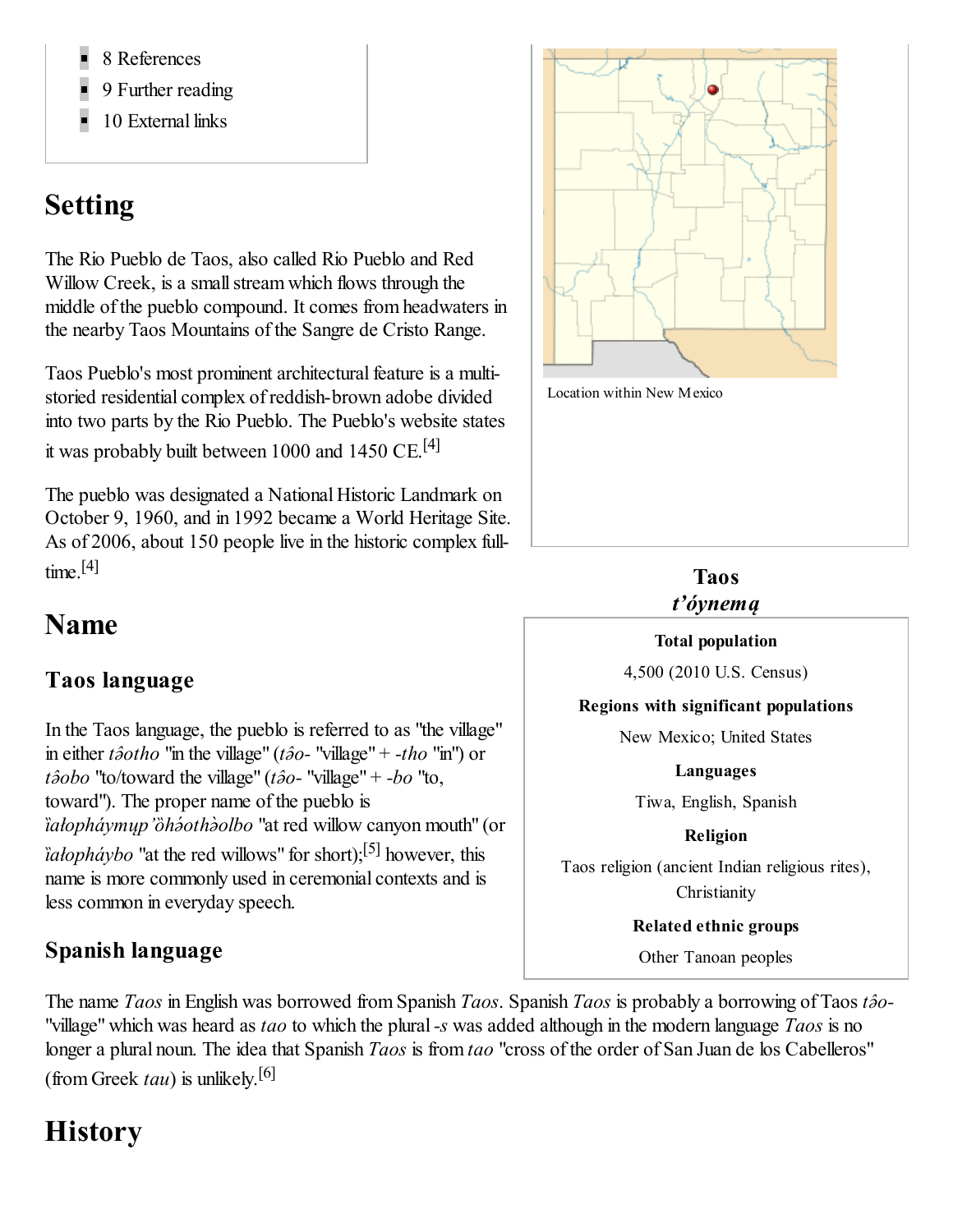- 8 [References](#page-5-3)
- 9 [Further](#page-5-4) reading
- 10 [External](#page-5-5) links

## <span id="page-1-0"></span>Setting

The Rio [Pueblo](http://en.wikipedia.org/wiki/Rio_Pueblo_de_Taos) de Taos, also called Rio Pueblo and Red Willow Creek, is a small stream which flows through the middle of the pueblo compound. It comes from [headwaters](http://en.wikipedia.org/wiki/Headwater) in the nearby Taos [Mountains](http://en.wikipedia.org/wiki/Sangre_de_Cristo_Mountains#Taos_Mountains) of the [Sangre](http://en.wikipedia.org/wiki/Sangre_de_Cristo_Range) de Cristo Range.

Taos Pueblo's most prominent architectural feature is a multistoried residential complex of reddish-brown [adobe](http://en.wikipedia.org/wiki/Adobe) divided into two parts by the Rio Pueblo. The Pueblo's website states it was probably built between 1000 and 1450 CE.<sup>[\[4\]](#page-5-2)</sup>

The pueblo was designated a National Historic [Landmark](http://en.wikipedia.org/wiki/National_Historic_Landmark) on October 9, 1960, and in 1992 became a World [Heritage](http://en.wikipedia.org/wiki/World_Heritage_Site) Site. As of 2006, about 150 people live in the historic complex fulltime. [\[4\]](#page-5-2)

## <span id="page-1-6"></span><span id="page-1-1"></span>Name

### <span id="page-1-2"></span>Taos language

In the Taos [language](http://en.wikipedia.org/wiki/Taos_language), the pueblo is referred to as "the village" in either *tə̂otho* "in the village" (*tə̂o-* "village" + *-tho* "in") or *tə̂obo* "to/toward the village" (*tə̂o-* "village" + *-bo* "to, toward"). The proper name of the pueblo is *ȉałopháymųp'ȍhə́othə̀olbo* "at red willow canyon mouth" (or *ȉałopháybo* "at the red willows" for short); [\[5\]](#page-5-6) however, this name is more commonly used in ceremonial contexts and is less common in everyday speech.

### <span id="page-1-3"></span>Spanish language



Location within New Mexico

#### <span id="page-1-5"></span>Taos *t'óynemą*

#### Total population

4,500 (2010 U.S. [Census\)](http://en.wikipedia.org/wiki/United_States_Census,_2010)

Regions with significant populations

New [Mexico;](http://en.wikipedia.org/wiki/New_Mexico) United States

Languages

[Tiwa,](http://en.wikipedia.org/wiki/Tiwa) [English,](http://en.wikipedia.org/wiki/English_language) [Spanish](http://en.wikipedia.org/wiki/Spanish_language)

Religion

<span id="page-1-7"></span>Taos religion (ancient Indian [religious](http://en.wikipedia.org/wiki/Pueblo_peoples#Religion) rites), **Christianity** 

Related ethnic groups

Other [Tanoan](http://en.wikipedia.org/wiki/Tanoan) peoples

The name *Taos* in English was borrowed from Spanish *Taos*. Spanish *Taos* is probably a borrowing of Taos *tə̂o-* "village" which was heard as *tao* to which the plural*-s* was added although in the modern language *Taos* is no longer a plural noun. The idea that Spanish *Taos* is from *tao* "cross of the order of San Juan de los Cabelleros" (from Greek *tau*) is unlikely. [\[6\]](#page-5-7)

## <span id="page-1-8"></span><span id="page-1-4"></span>**History**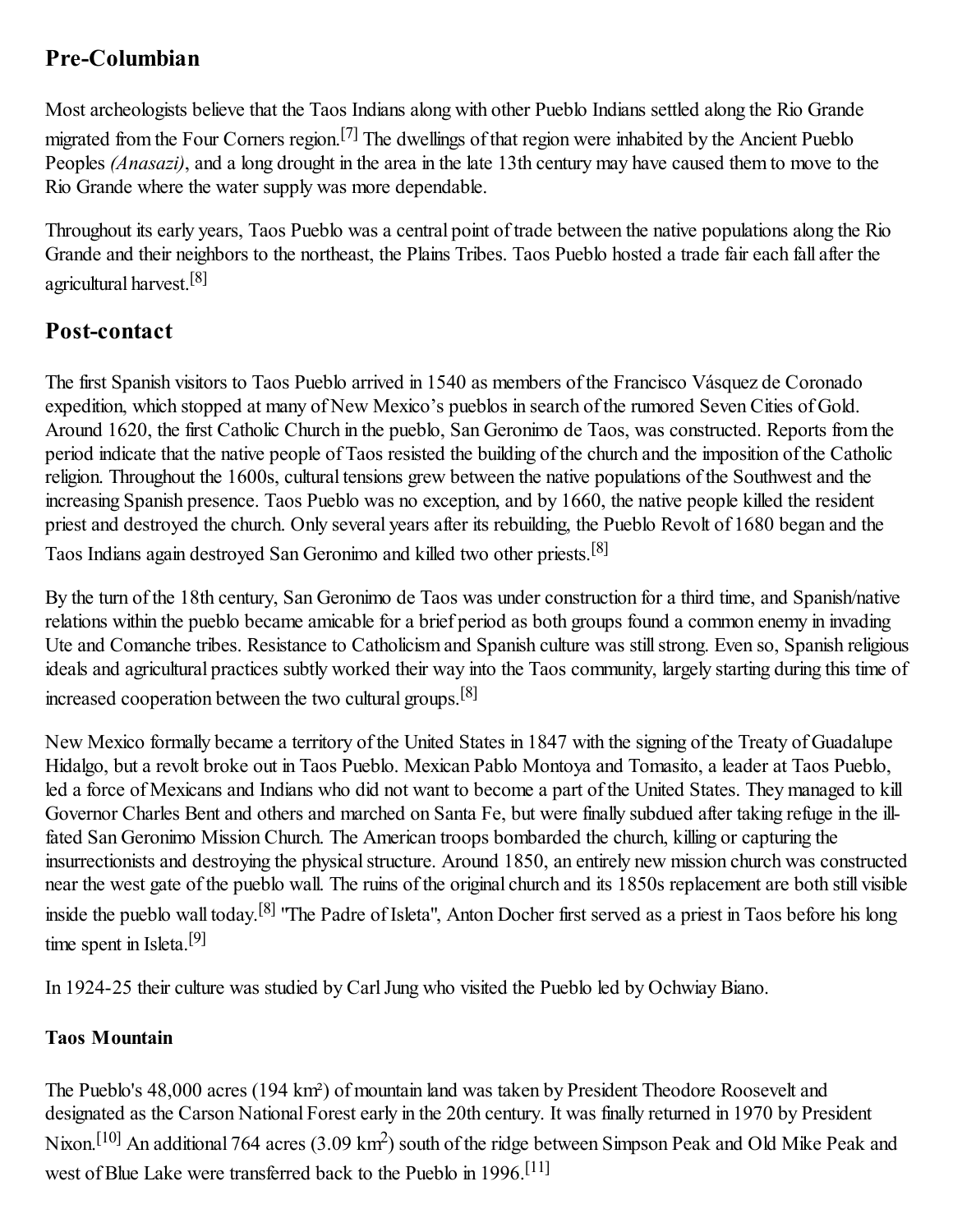### <span id="page-2-0"></span>Pre-Columbian

<span id="page-2-3"></span>Most [archeologists](http://en.wikipedia.org/wiki/Archeologists) believe that the Taos Indians along with other Pueblo Indians settled along the Rio [Grande](http://en.wikipedia.org/wiki/Rio_Grande) migrated from the Four [Corners](http://en.wikipedia.org/wiki/Four_Corners) region.<sup>[\[7\]](#page-5-8)</sup> The dwellings of that region were inhabited by the Ancient Pueblo Peoples *[\(Anasazi\)](http://en.wikipedia.org/wiki/Ancient_Pueblo_Peoples)*, and a long drought in the area in the late 13th century may have caused them to move to the Rio Grande where the water supply was more dependable.

<span id="page-2-4"></span>Throughout its early years, Taos Pueblo was a central point of trade between the native populations along the Rio Grande and their neighbors to the northeast, the Plains [Tribes.](http://en.wikipedia.org/wiki/Plains_Tribes) Taos Pueblo hosted a trade fair each fall after the agricultural harvest.<sup>[\[8\]](#page-5-9)</sup>

### <span id="page-2-1"></span>Post-contact

The first Spanish visitors to Taos Pueblo arrived in 1540 as members of the Francisco Vásquez de [Coronado](http://en.wikipedia.org/wiki/Francisco_V%C3%A1squez_de_Coronado) expedition, which stopped at many of New Mexico's pueblos in search of the rumored [Seven](http://en.wikipedia.org/wiki/Seven_Cities_of_Gold_(myth)) Cities of Gold. Around 1620, the first Catholic Church in the pueblo, San Geronimo de Taos, was constructed. Reports from the period indicate that the native people of Taos resisted the building of the church and the imposition of the Catholic religion. Throughout the 1600s, cultural tensions grew between the native populations of the Southwest and the increasing Spanish presence. Taos Pueblo was no exception, and by 1660, the native people killed the resident priest and destroyed the church. Only several years after its rebuilding, the [Pueblo](http://en.wikipedia.org/wiki/Pueblo_Revolt) Revolt of 1680 began and the Taos Indians again destroyed San Geronimo and killed two other priests.<sup>[\[8\]](#page-5-9)</sup>

<span id="page-2-5"></span>By the turn of the 18th century, San Geronimo de Taos was under construction for a third time, and Spanish/native relations within the pueblo became amicable for a brief period as both groups found a common enemy in invading [Ute](http://en.wikipedia.org/wiki/Ute_people) and [Comanche](http://en.wikipedia.org/wiki/Comanche) tribes. Resistance to Catholicism and Spanish culture was stillstrong. Even so, Spanish religious ideals and agricultural practices subtly worked their way into the Taos community, largely starting during this time of increased cooperation between the two cultural groups.<sup>[\[8\]](#page-5-9)</sup>

<span id="page-2-6"></span>New Mexico formally became a [territory](http://en.wikipedia.org/wiki/New_Mexico_Territory) of the United States in 1847 with the signing of the Treaty of [Guadalupe](http://en.wikipedia.org/wiki/Treaty_of_Guadalupe_Hidalgo) Hidalgo, but a [revolt](http://en.wikipedia.org/wiki/Taos_Revolt) broke out in Taos Pueblo. Mexican Pablo [Montoya](http://en.wikipedia.org/wiki/Pablo_Montoya) and [Tomasito,](http://en.wikipedia.org/wiki/Tomasito) a leader at Taos Pueblo, led a force of Mexicans and Indians who did not want to become a part of the United States. They managed to kill Governor [Charles](http://en.wikipedia.org/wiki/Charles_Bent) Bent and others and marched on Santa Fe, but were finally [subdued](http://en.wikipedia.org/wiki/Siege_of_Pueblo_de_Taos) after taking refuge in the illfated San Geronimo Mission Church. The American troops bombarded the church, killing or capturing the insurrectionists and destroying the physical structure. Around 1850, an entirely new mission church was constructed near the west gate of the pueblo wall. The ruins of the original church and its 1850s replacement are both still visible inside the pueblo wall today.<sup>[\[8\]](#page-5-9)</sup> "The Padre of Isleta", Anton [Docher](http://en.wikipedia.org/wiki/Anton_Docher) first served as a priest in Taos before his long time spent in [Isleta.](http://en.wikipedia.org/wiki/Isleta)<sup>[\[9\]](#page-5-10)</sup>

<span id="page-2-8"></span><span id="page-2-7"></span>In 1924-25 their culture was studied by [CarlJung](http://en.wikipedia.org/wiki/Carl_Jung) who visited the Pueblo led by [Ochwiay](http://en.wikipedia.org/wiki/Ochwiay_Biano) Biano.

#### <span id="page-2-2"></span>Taos Mountain

<span id="page-2-10"></span><span id="page-2-9"></span>The Pueblo's 48,000 acres (194 km²) of mountain land was taken by President Theodore [Roosevelt](http://en.wikipedia.org/wiki/Theodore_Roosevelt) and [designated](http://en.wikipedia.org/wiki/Richard_Nixon) as the Carson [National](http://en.wikipedia.org/wiki/Carson_National_Forest) Forest early in the 20th century. It was finally returned in 1970 by President Nixon.<sup>[\[10\]](#page-5-11)</sup> An additional 764 acres (3.09 km<sup>2</sup>) south of the ridge between Simpson Peak and Old Mike Peak and west of Blue Lake were transferred back to the Pueblo in 1996.<sup>[\[11\]](#page-5-12)</sup>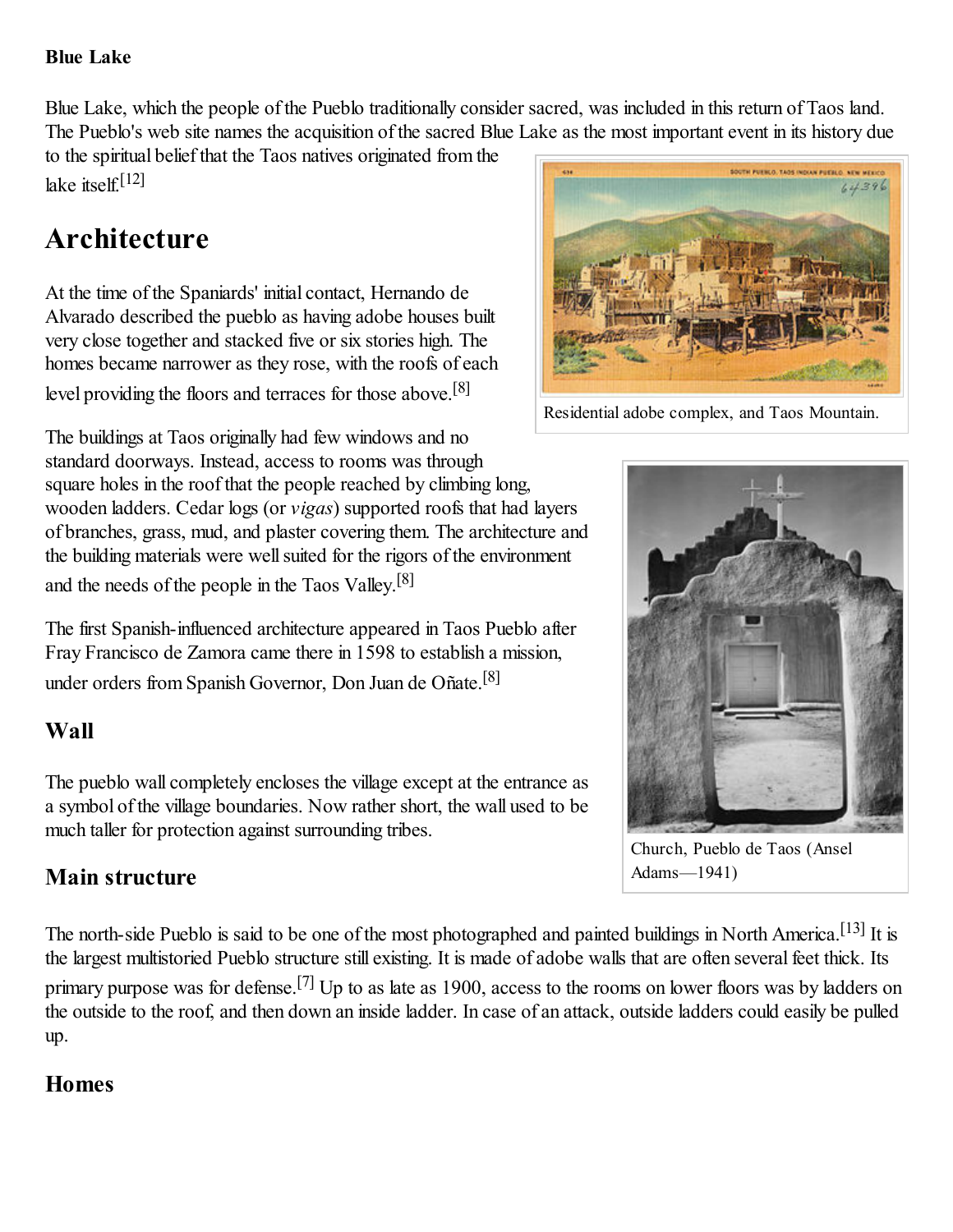#### <span id="page-3-0"></span>Blue Lake

Blue Lake, which the people of the Pueblo traditionally consider sacred, was included in this return of Taos land. The Pueblo's web site names the acquisition of the sacred Blue Lake as the most important event in its history due

<span id="page-3-9"></span>to the spiritual belief that the Taos natives originated from the lake itself. [\[12\]](#page-5-13)

## <span id="page-3-1"></span>Architecture

At the time of the [Spaniards'](http://en.wikipedia.org/w/index.php?title=Hernando_de_Alvarado&action=edit&redlink=1) initial contact, Hernando de Alvarado described the pueblo as having adobe houses built very close together and stacked five or six stories high. The homes became narrower as they rose, with the roofs of each level providing the floors and terraces for those above.<sup>[\[8\]](#page-5-9)</sup>

The buildings at Taos originally had few windows and no standard doorways. Instead, access to rooms was through square holes in the roof that the people reached by climbing long, wooden ladders. Cedar logs (or *vigas*) supported roofs that had layers of branches, grass, mud, and plaster covering them. The architecture and the building materials were wellsuited for the rigors of the environment and the needs of the people in the Taos Valley.<sup>[\[8\]](#page-5-9)</sup>

The first Spanish-influenced architecture appeared in Taos Pueblo after Fray [Francisco](http://en.wikipedia.org/w/index.php?title=Francisco_de_Zamora&action=edit&redlink=1) de Zamora came there in 1598 to establish a mission, under orders from Spanish Governor, Don Juan de [Oñate.](http://en.wikipedia.org/wiki/Juan_de_O%C3%B1ate) [\[8\]](#page-5-9)

### <span id="page-3-2"></span>Wall

The pueblo wall completely encloses the village except at the entrance as a symbol of the village boundaries. Now rather short, the wall used to be much taller for protection against surrounding tribes.

### <span id="page-3-3"></span>Main structure

<span id="page-3-5"></span>The north-side Pueblo is said to be one of the most photographed and painted buildings in North America.<sup>[\[13\]](#page-5-14)</sup> It is the largest multistoried Pueblo structure still existing. It is made of adobe walls that are often several feet thick. Its primary purpose was for defense.<sup>[\[7\]](#page-5-8)</sup> Up to as late as 1900, access to the rooms on lower floors was by ladders on the outside to the roof, and then down an inside ladder. In case of an attack, outside ladders could easily be pulled up.

### <span id="page-3-4"></span>Homes

<span id="page-3-7"></span><span id="page-3-6"></span>Residential adobe complex, and Taos [Mountain](http://en.wikipedia.org/wiki/Sangre_de_Cristo_Mountains#Taos_Mountains).

<span id="page-3-10"></span><span id="page-3-8"></span>



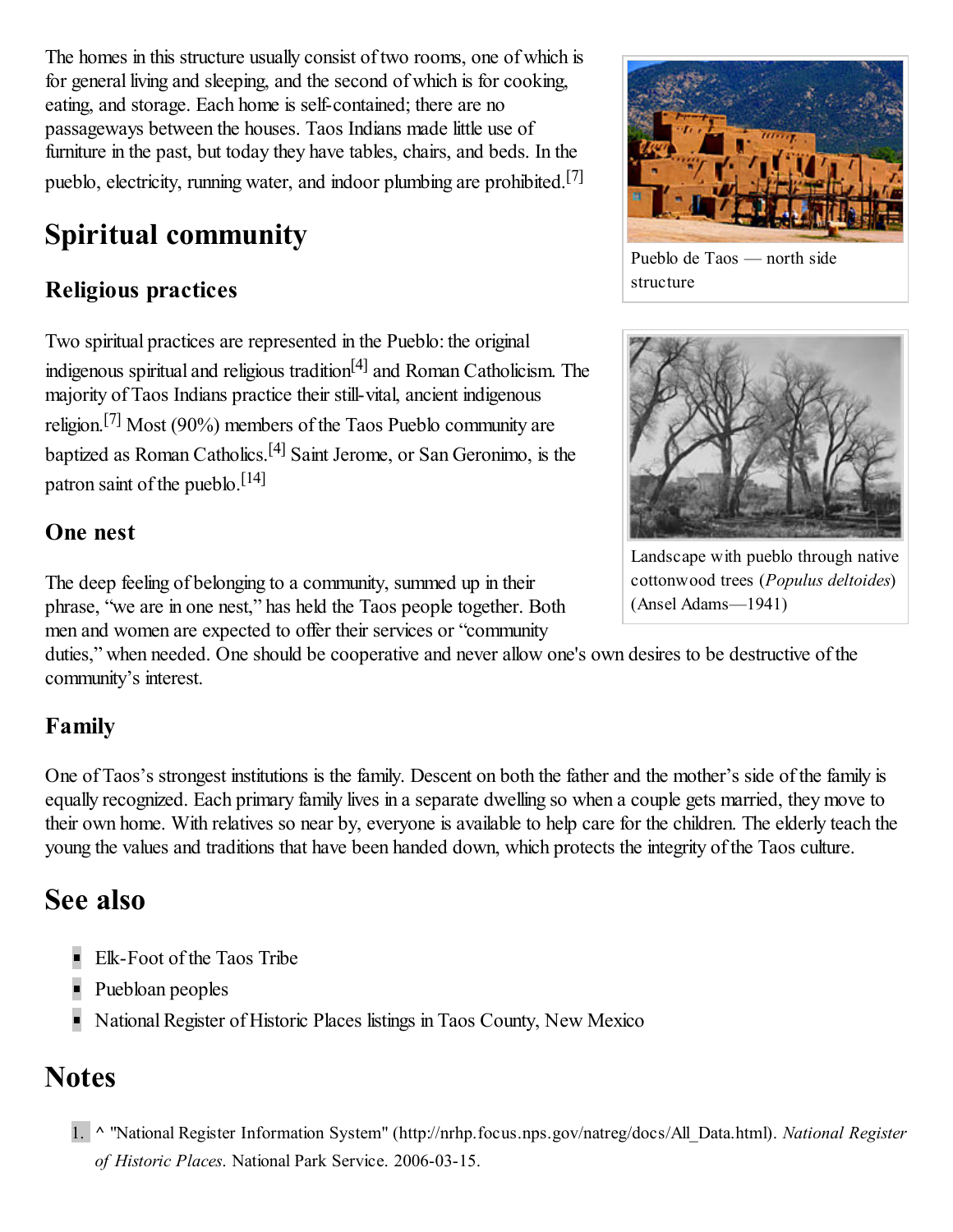The homes in this structure usually consist of two rooms, one of which is for general living and sleeping, and the second of which is for cooking, eating, and storage. Each home is self-contained; there are no passageways between the houses. Taos Indians made little use of furniture in the past, but today they have [tables](http://en.wikipedia.org/wiki/Table_(furniture)), chairs, and beds. In the pueblo, electricity, [running](http://en.wikipedia.org/wiki/Running_water) water, and indoor [plumbing](http://en.wikipedia.org/wiki/Plumbing) are prohibited.<sup>[\[7\]](#page-5-8)</sup>

## <span id="page-4-1"></span>Spi[ri](#page-0-0)tual community

## <span id="page-4-2"></span>Religious practices

<span id="page-4-10"></span>Two spiritual practices are [represented](http://en.wikipedia.org/wiki/Pueblo_peoples#Religion) in the Pueblo: the original indigenous spiritual and religious tradition<sup>[\[4\]](#page-5-2)</sup> and Roman [Catholicism](http://en.wikipedia.org/wiki/Roman_Catholicism). The majority of Taos Indians practice their still-vital, ancient indigenous religion.<sup>[\[7\]](#page-5-8)</sup> Most (90%) members of the Taos Pueblo community are baptized as Roman Catholics.<sup>[\[4\]](#page-5-2)</sup> Saint [Jerome](http://en.wikipedia.org/wiki/Saint_Jerome), or San [Geronimo,](http://en.wikipedia.org/wiki/San_Geronimo) is the [patron](http://en.wikipedia.org/wiki/Patron_saint) saint of the pueblo.<sup>[\[14\]](#page-5-15)</sup>

<span id="page-4-9"></span>

Pueblo de Taos — north side structure

<span id="page-4-7"></span>

Landscape with pueblo through native [cottonwood](http://en.wikipedia.org/wiki/Populus_deltoides) trees (*Populus deltoides*) (Ansel Adams—1941)

### <span id="page-4-11"></span><span id="page-4-8"></span><span id="page-4-3"></span>One nest

The deep feeling of belonging to a community, summed up in their phrase, "we are in one nest," has held the Taos people together. Both men and women are expected to offer their services or "community

duties," when needed. One should be cooperative and never allow one's own desires to be destructive of the community's interest.

### <span id="page-4-4"></span>Family

One of Taos's strongest institutions is the family. Descent on both the father and the mother's side of the family is equally recognized. Each primary family lives in a separate dwelling so when a couple gets married, they move to their own home. With relatives so near by, everyone is available to help care for the children. The elderly teach the young the values and traditions that have been handed down, which protects the integrity of the Taos culture.

## <span id="page-4-5"></span>See also

- [Elk-Foot](http://en.wikipedia.org/wiki/Elk-Foot_of_the_Taos_Tribe) of the Taos Tribe
- [Puebloan](http://en.wikipedia.org/wiki/Puebloan_peoples) peoples
- National Register of Historic Places listings in Taos County, New Mexico

## <span id="page-4-6"></span>**Notes**

<span id="page-4-0"></span>1. ^ "National Register Information System" [\(http://nrhp.focus.nps.gov/natreg/docs/All\\_Data.html\).](http://nrhp.focus.nps.gov/natreg/docs/All_Data.html) *National Register of Historic Places*. [National](http://en.wikipedia.org/wiki/National_Park_Service) Park Service. 2006-03-15.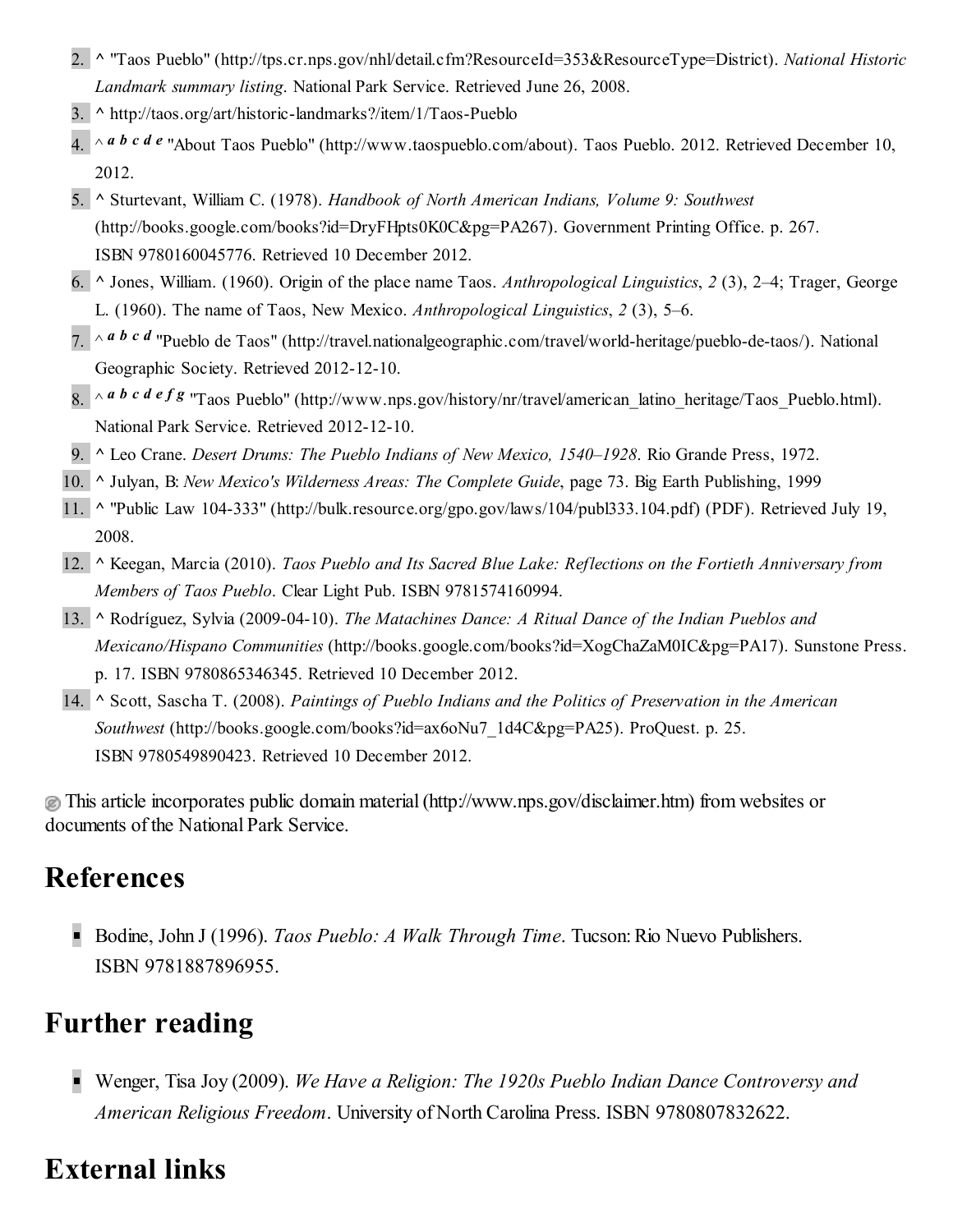- <span id="page-5-0"></span>2. [^](#page-0-2) "Taos Pueblo" [\(http://tps.cr.nps.gov/nhl/detail.cfm?ResourceId=353&ResourceType=District\).](http://tps.cr.nps.gov/nhl/detail.cfm?ResourceId=353&ResourceType=District) *National Historic L[an](#page-0-3)dmark summary listing*. National Park Service. Retrieved June 26, 2008.
- <span id="page-5-1"></span>3. ^ <http://taos.org/art/historic-landmarks?/item/1/Taos-Pueblo>
- <span id="page-5-2"></span>4.  $\sim$  *a [b](#page-1-5) [c](#page-1-6) [d](#page-4-7) [e](#page-4-8)* "About Taos Pueblo" [\(http://www.taospueblo.com/about\).](http://www.taospueblo.com/about) Taos Pueblo. 2012. Retrieved December 10, 2012.
- <span id="page-5-6"></span>5. ^ Sturtevant, William C. (1978). *Handbook of North American Indians, Volume 9: Southwest* [\(http://books.google.com/books?id=DryFHpts0K0C&pg=PA267\).](http://books.google.com/books?id=DryFHpts0K0C&pg=PA267) Government Printing Office. p. 267. [ISBN](http://en.wikipedia.org/wiki/International_Standard_Book_Number) [9780160045776.](http://en.wikipedia.org/wiki/Special:BookSources/9780160045776) Retrieved 10 December 2012.
- <span id="page-5-7"></span>6. ^ Jones, William. (1960). Origin of the place name Taos. *Anthropological Linguistics*, *2* (3), 2–4; Trager, George L. (1960). The name of Taos, New Mexico. *Anthropological Linguistics*, *2* (3), 5–6.
- <span id="page-5-8"></span>7. ^ *a [b](#page-3-5) [c](#page-4-9) [d](#page-4-10)* "Pueblo de Taos" [\(http://travel.nationalgeographic.com/travel/world-heritage/pueblo-de-taos/\).](http://travel.nationalgeographic.com/travel/world-heritage/pueblo-de-taos/) National Geographic Society. Retrieved 2012-12-10.
- <span id="page-5-9"></span> $8. \sim a$  *[b](#page-2-5) [c](#page-2-6) [d](#page-2-7) [e](#page-3-6) [f](#page-3-7) [g](#page-3-8)* "Taos Pueblo" [\(http://www.nps.gov/history/nr/travel/american\\_latino\\_heritage/Taos\\_Pueblo.html\)](http://www.nps.gov/history/nr/travel/american_latino_heritage/Taos_Pueblo.html). [N](#page-2-8)ational Park Service. Retrieved 2012-12-10.
- <span id="page-5-11"></span><span id="page-5-10"></span>9. ^ Leo Crane. *Desert Drums: The Pueblo Indians of New Mexico, 1540–1928*. Rio Grande Press, 1972.
- 10. ^ Julyan, B: *New Mexico's Wilderness Areas: The Complete Guide*, page 73. Big Earth Publishing, 1999
- <span id="page-5-12"></span>11. ^ "Public Law 104-333" [\(http://bulk.resource.org/gpo.gov/laws/104/publ333.104.pdf\)](http://bulk.resource.org/gpo.gov/laws/104/publ333.104.pdf) (PDF). Retrieved July 19, 2008.
- <span id="page-5-13"></span>12. ^ Keegan, Marcia (2010). *Taos Pueblo and Its Sacred Blue Lake: Reflections on the Fortieth Anniversary from Members of Taos Pueblo*. Clear Light Pub. [ISBN](http://en.wikipedia.org/wiki/International_Standard_Book_Number) [9781574160994.](http://en.wikipedia.org/wiki/Special:BookSources/9781574160994)
- <span id="page-5-14"></span>13. ^ Rodríguez, Sylvia (2009-04-10). *The Matachines Dance: A Ritual Dance of the Indian Pueblos and Mexicano/Hispano Communities* [\(http://books.google.com/books?id=XogChaZaM0IC&pg=PA17\).](http://books.google.com/books?id=XogChaZaM0IC&pg=PA17) Sunstone Press. p. 17. [ISBN](http://en.wikipedia.org/wiki/International_Standard_Book_Number) [9780865346345.](http://en.wikipedia.org/wiki/Special:BookSources/9780865346345) Retrieved 10 December 2012.
- <span id="page-5-15"></span>14. ^ Scott, Sascha T. (2008). *Paintings of Pueblo Indians and the Politics of Preservation in the American Southwest* [\(http://books.google.com/books?id=ax6oNu7\\_1d4C&pg=PA25\).](http://books.google.com/books?id=ax6oNu7_1d4C&pg=PA25) ProQuest. p. 25. [ISBN](http://en.wikipedia.org/wiki/International_Standard_Book_Number) [9780549890423.](http://en.wikipedia.org/wiki/Special:BookSources/9780549890423) Retrieved 10 December 2012.

This article incorporates public domain [material\(http://www.nps.gov/disclaimer.htm\)](http://www.nps.gov/disclaimer.htm) from websites or documents of the [National](http://en.wikipedia.org/wiki/National_Park_Service) Park Service.

## <span id="page-5-3"></span>References

Bodine, John J (1996). *Taos Pueblo: A Walk Through Time*. Tucson:Rio Nuevo Publishers. [ISBN](http://en.wikipedia.org/wiki/International_Standard_Book_Number) [9781887896955](http://en.wikipedia.org/wiki/Special:BookSources/9781887896955).

## <span id="page-5-4"></span>Further reading

Wenger, Tisa Joy (2009). *We Have a Religion: The 1920s Pueblo Indian Dance Controversy and American Religious Freedom*. University of North Carolina Press. [ISBN](http://en.wikipedia.org/wiki/International_Standard_Book_Number) [9780807832622.](http://en.wikipedia.org/wiki/Special:BookSources/9780807832622)

## <span id="page-5-5"></span>External links